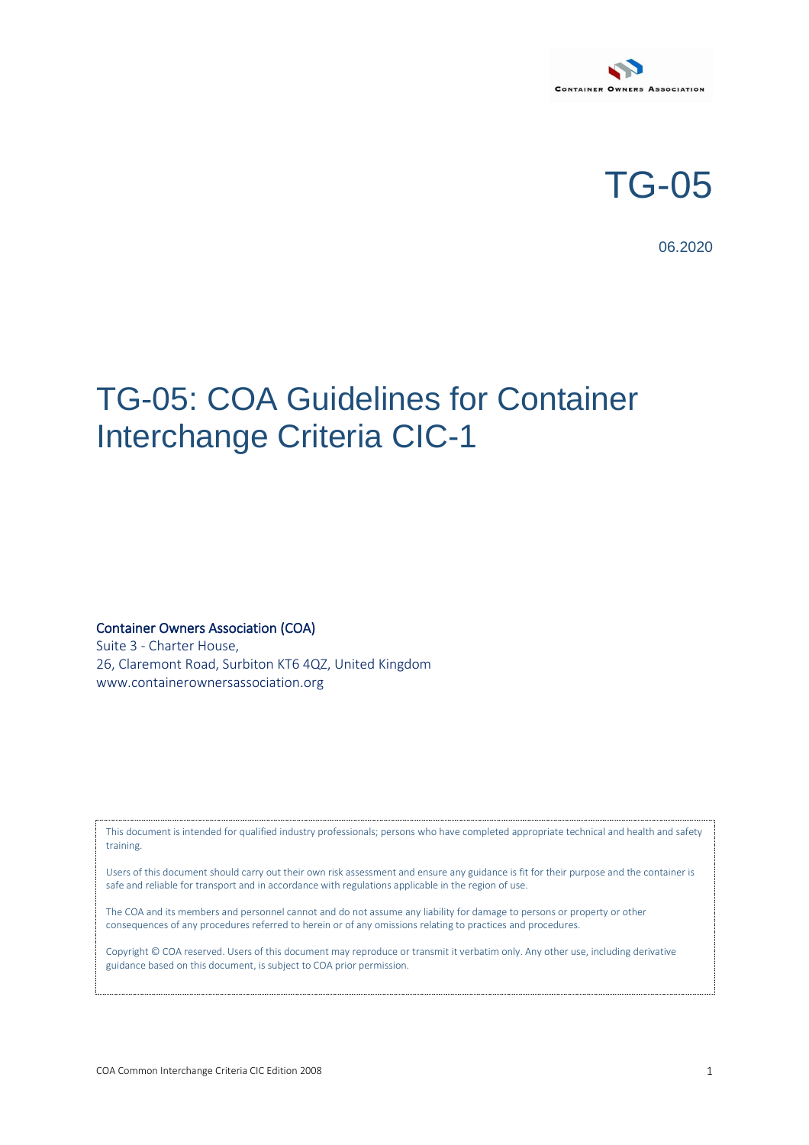

TG-05

06.2020

## TG-05: COA Guidelines for Container Interchange Criteria CIC-1

Container Owners Association (COA)

Suite 3 - Charter House, 26, Claremont Road, Surbiton KT6 4QZ, United Kingdom www.containerownersassociation.org

This document is intended for qualified industry professionals; persons who have completed appropriate technical and health and safety training.

Users of this document should carry out their own risk assessment and ensure any guidance is fit for their purpose and the container is safe and reliable for transport and in accordance with regulations applicable in the region of use.

The COA and its members and personnel cannot and do not assume any liability for damage to persons or property or other consequences of any procedures referred to herein or of any omissions relating to practices and procedures.

Copyright © COA reserved. Users of this document may reproduce or<br>guidance based on this document, is subject to COA prior permission. Copyright © COA reserved. Users of this document may reproduce or transmit it verbatim only. Any other use, including derivative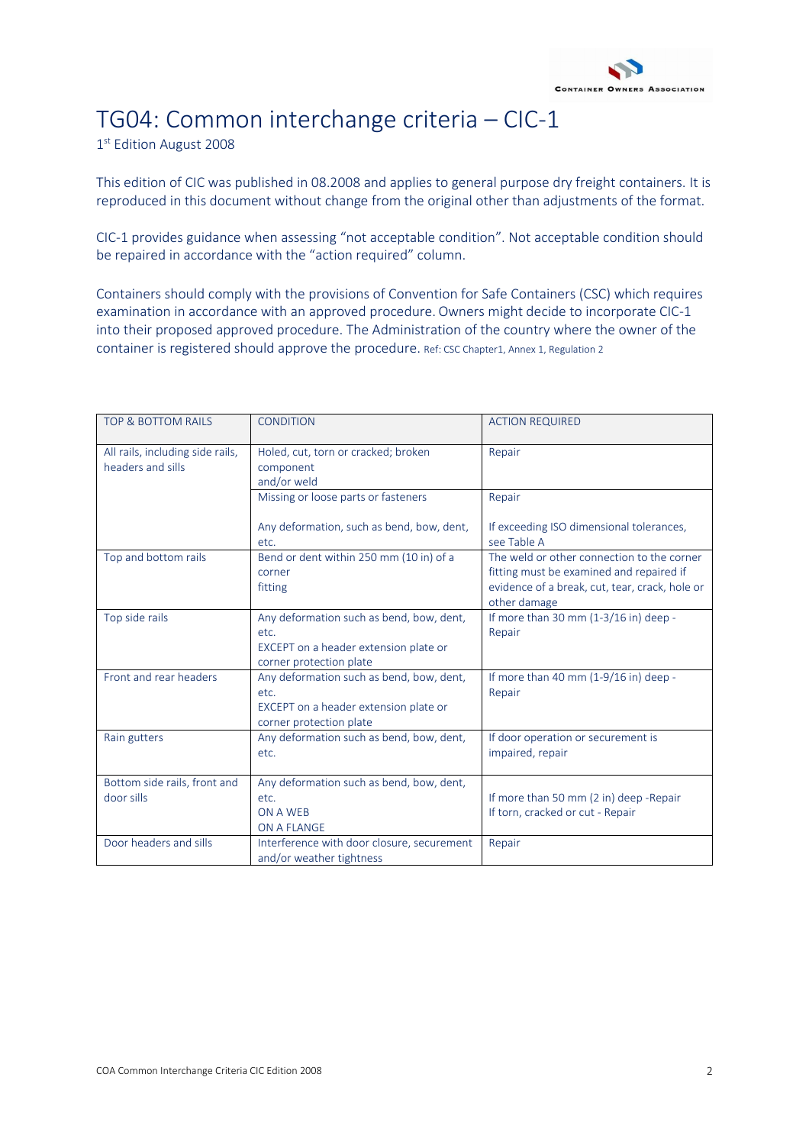

## TG04: Common interchange criteria – CIC-1

1<sup>st</sup> Edition August 2008

This edition of CIC was published in 08.2008 and applies to general purpose dry freight containers. It is reproduced in this document without change from the original other than adjustments of the format.

CIC-1 provides guidance when assessing "not acceptable condition". Not acceptable condition should be repaired in accordance with the "action required" column.

Containers should comply with the provisions of Convention for Safe Containers (CSC) which requires examination in accordance with an approved procedure. Owners might decide to incorporate CIC-1 into their proposed approved procedure. The Administration of the country where the owner of the container is registered should approve the procedure. Ref: CSC Chapter1, Annex 1, Regulation 2

| <b>TOP &amp; BOTTOM RAILS</b>                         | <b>CONDITION</b>                                                                                                     | <b>ACTION REQUIRED</b>                                                                                                                                   |
|-------------------------------------------------------|----------------------------------------------------------------------------------------------------------------------|----------------------------------------------------------------------------------------------------------------------------------------------------------|
| All rails, including side rails,<br>headers and sills | Holed, cut, torn or cracked; broken<br>component<br>and/or weld                                                      | Repair                                                                                                                                                   |
|                                                       | Missing or loose parts or fasteners                                                                                  | Repair                                                                                                                                                   |
|                                                       | Any deformation, such as bend, bow, dent,<br>etc.                                                                    | If exceeding ISO dimensional tolerances,<br>see Table A                                                                                                  |
| Top and bottom rails                                  | Bend or dent within 250 mm (10 in) of a<br>corner<br>fitting                                                         | The weld or other connection to the corner<br>fitting must be examined and repaired if<br>evidence of a break, cut, tear, crack, hole or<br>other damage |
| Top side rails                                        | Any deformation such as bend, bow, dent,<br>etc.<br>EXCEPT on a header extension plate or<br>corner protection plate | If more than 30 mm (1-3/16 in) deep -<br>Repair                                                                                                          |
| Front and rear headers                                | Any deformation such as bend, bow, dent,<br>etc.<br>EXCEPT on a header extension plate or<br>corner protection plate | If more than 40 mm (1-9/16 in) deep -<br>Repair                                                                                                          |
| Rain gutters                                          | Any deformation such as bend, bow, dent,<br>etc.                                                                     | If door operation or securement is<br>impaired, repair                                                                                                   |
| Bottom side rails, front and<br>door sills            | Any deformation such as bend, bow, dent,<br>etc.<br>ON A WEB<br>ON A FLANGE                                          | If more than 50 mm (2 in) deep -Repair<br>If torn, cracked or cut - Repair                                                                               |
| Door headers and sills                                | Interference with door closure, securement<br>and/or weather tightness                                               | Repair                                                                                                                                                   |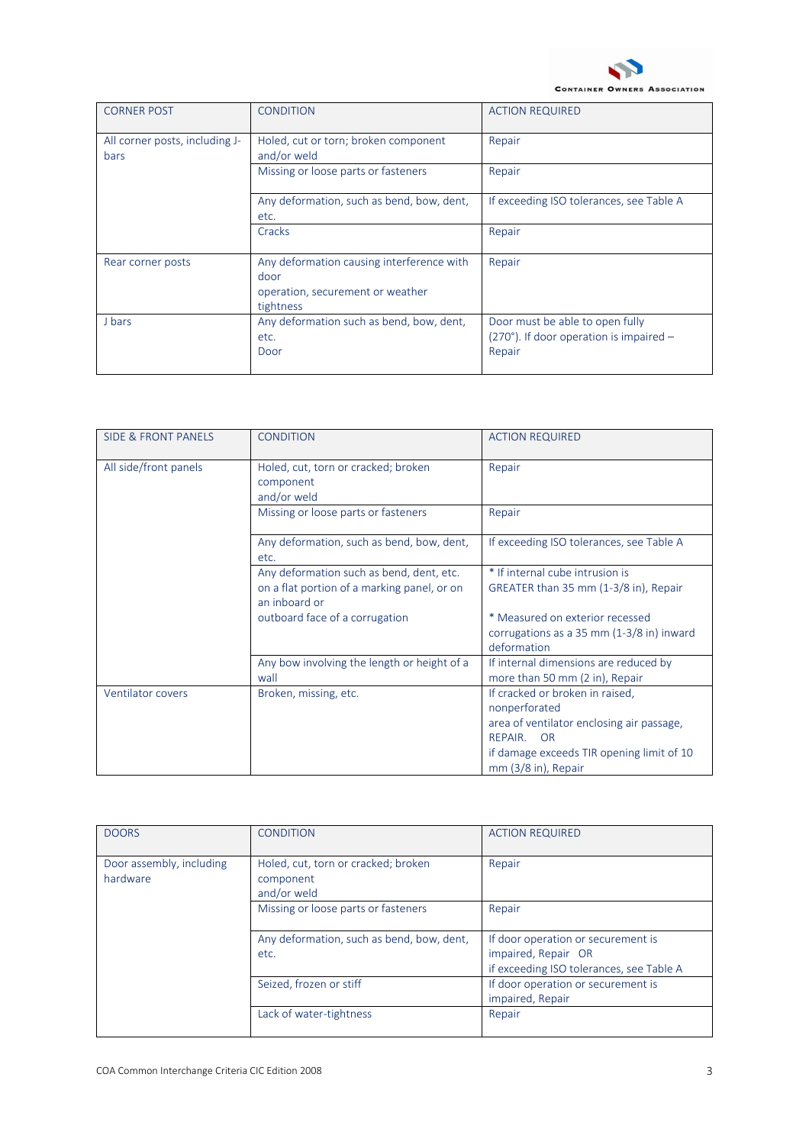

| <b>CORNER POST</b>                            | <b>CONDITION</b>                                                                                   | <b>ACTION REQUIRED</b>                                                                         |
|-----------------------------------------------|----------------------------------------------------------------------------------------------------|------------------------------------------------------------------------------------------------|
| All corner posts, including J-<br><b>bars</b> | Holed, cut or torn; broken component<br>and/or weld                                                | Repair                                                                                         |
|                                               | Missing or loose parts or fasteners                                                                | Repair                                                                                         |
|                                               | Any deformation, such as bend, bow, dent,<br>etc.                                                  | If exceeding ISO tolerances, see Table A                                                       |
|                                               | Cracks                                                                                             | Repair                                                                                         |
| Rear corner posts                             | Any deformation causing interference with<br>door<br>operation, securement or weather<br>tightness | Repair                                                                                         |
| J bars                                        | Any deformation such as bend, bow, dent,<br>etc.<br>Door                                           | Door must be able to open fully<br>$(270^{\circ})$ . If door operation is impaired -<br>Repair |

| <b>SIDE &amp; FRONT PANELS</b> | <b>CONDITION</b>                                                | <b>ACTION REQUIRED</b>                                                  |
|--------------------------------|-----------------------------------------------------------------|-------------------------------------------------------------------------|
| All side/front panels          | Holed, cut, torn or cracked; broken<br>component<br>and/or weld | Repair                                                                  |
|                                | Missing or loose parts or fasteners                             | Repair                                                                  |
|                                | Any deformation, such as bend, bow, dent,<br>etc.               | If exceeding ISO tolerances, see Table A                                |
|                                | Any deformation such as bend, dent, etc.                        | * If internal cube intrusion is                                         |
|                                | on a flat portion of a marking panel, or on<br>an inhoard or    | GREATER than 35 mm (1-3/8 in), Repair                                   |
|                                | outboard face of a corrugation                                  | * Measured on exterior recessed                                         |
|                                |                                                                 | corrugations as a 35 mm (1-3/8 in) inward<br>deformation                |
|                                | Any bow involving the length or height of a<br>wall             | If internal dimensions are reduced by<br>more than 50 mm (2 in), Repair |
| Ventilator covers              | Broken, missing, etc.                                           | If cracked or broken in raised,<br>nonperforated                        |
|                                |                                                                 | area of ventilator enclosing air passage,                               |
|                                |                                                                 | <b>REPAIR</b><br>OR                                                     |
|                                |                                                                 | if damage exceeds TIR opening limit of 10                               |
|                                |                                                                 | mm (3/8 in), Repair                                                     |

| <b>DOORS</b>                         | CONDITION                                                       | <b>ACTION REQUIRED</b>                                                                                |
|--------------------------------------|-----------------------------------------------------------------|-------------------------------------------------------------------------------------------------------|
| Door assembly, including<br>hardware | Holed, cut, torn or cracked; broken<br>component<br>and/or weld | Repair                                                                                                |
|                                      | Missing or loose parts or fasteners                             | Repair                                                                                                |
|                                      | Any deformation, such as bend, bow, dent,<br>etc.               | If door operation or securement is<br>impaired, Repair OR<br>if exceeding ISO tolerances, see Table A |
|                                      | Seized, frozen or stiff                                         | If door operation or securement is<br>impaired, Repair                                                |
|                                      | Lack of water-tightness                                         | Repair                                                                                                |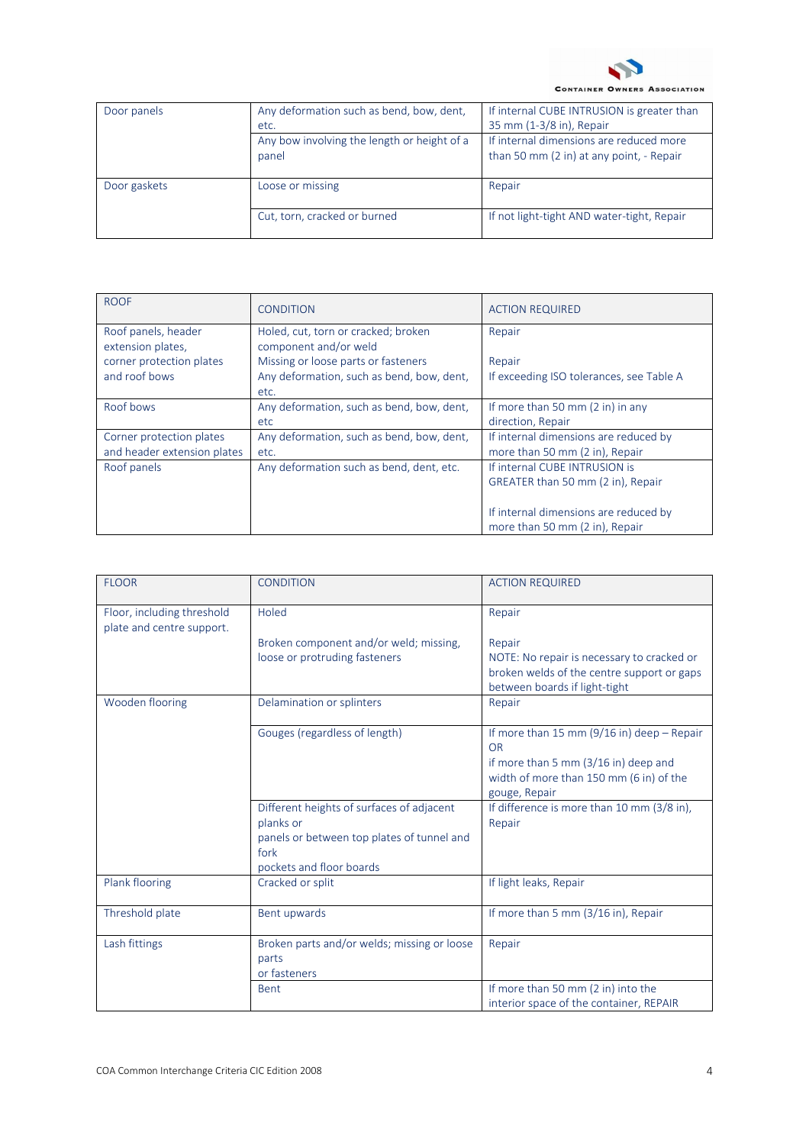

**CONTAINER OWNERS ASSOCIATION** 

| Door panels  | Any deformation such as bend, bow, dent,   If internal CUBE INTRUSION is greater than<br>etc. | 35 mm (1-3/8 in), Repair                                                            |
|--------------|-----------------------------------------------------------------------------------------------|-------------------------------------------------------------------------------------|
|              | Any bow involving the length or height of a<br>nanel                                          | If internal dimensions are reduced more<br>than 50 mm (2 in) at any point, - Repair |
| Door gaskets | Loose or missing                                                                              | Repair                                                                              |
|              | Cut, torn, cracked or burned                                                                  | If not light-tight AND water-tight, Repair                                          |

| <b>ROOF</b>                              | <b>CONDITION</b>                                             | <b>ACTION REQUIRED</b>                                          |
|------------------------------------------|--------------------------------------------------------------|-----------------------------------------------------------------|
| Roof panels, header<br>extension plates, | Holed, cut, torn or cracked; broken<br>component and/or weld | Repair                                                          |
| corner protection plates                 | Missing or loose parts or fasteners                          | Repair                                                          |
| and roof bows                            | Any deformation, such as bend, bow, dent,<br>etc.            | If exceeding ISO tolerances, see Table A                        |
| Roof bows                                | Any deformation, such as bend, bow, dent,<br>etc.            | If more than 50 mm $(2 \text{ in})$ in any<br>direction, Repair |
|                                          |                                                              |                                                                 |
| Corner protection plates                 | Any deformation, such as bend, bow, dent,                    | If internal dimensions are reduced by                           |
| and header extension plates              | etc.                                                         | more than 50 mm (2 in), Repair                                  |
| Roof panels                              | Any deformation such as bend, dent, etc.                     | If internal CUBE INTRUSION is                                   |
|                                          |                                                              | GREATER than 50 mm (2 in), Repair                               |
|                                          |                                                              |                                                                 |
|                                          |                                                              | If internal dimensions are reduced by                           |
|                                          |                                                              | more than 50 mm (2 in), Repair                                  |

| <b>FLOOR</b>                                            | <b>CONDITION</b>                                       | <b>ACTION REQUIRED</b>                               |
|---------------------------------------------------------|--------------------------------------------------------|------------------------------------------------------|
| Floor, including threshold<br>plate and centre support. | Holed                                                  | Repair                                               |
|                                                         | Broken component and/or weld; missing,                 | Repair                                               |
|                                                         | loose or protruding fasteners                          | NOTE: No repair is necessary to cracked or           |
|                                                         |                                                        | broken welds of the centre support or gaps           |
| Wooden flooring                                         | Delamination or splinters                              | between boards if light-tight<br>Repair              |
|                                                         |                                                        |                                                      |
|                                                         | Gouges (regardless of length)                          | If more than 15 mm (9/16 in) deep $-$ Repair         |
|                                                         |                                                        | <b>OR</b>                                            |
|                                                         |                                                        | if more than 5 mm (3/16 in) deep and                 |
|                                                         |                                                        | width of more than 150 mm (6 in) of the              |
|                                                         |                                                        | gouge, Repair                                        |
|                                                         | Different heights of surfaces of adjacent<br>planks or | If difference is more than 10 mm (3/8 in),<br>Repair |
|                                                         | panels or between top plates of tunnel and             |                                                      |
|                                                         | fork                                                   |                                                      |
|                                                         | pockets and floor boards                               |                                                      |
| Plank flooring                                          | Cracked or split                                       | If light leaks, Repair                               |
| Threshold plate                                         | Bent upwards                                           | If more than 5 mm (3/16 in), Repair                  |
| Lash fittings                                           | Broken parts and/or welds; missing or loose            | Repair                                               |
|                                                         | parts                                                  |                                                      |
|                                                         | or fasteners                                           |                                                      |
|                                                         | <b>Bent</b>                                            | If more than 50 mm (2 in) into the                   |
|                                                         |                                                        | interior space of the container, REPAIR              |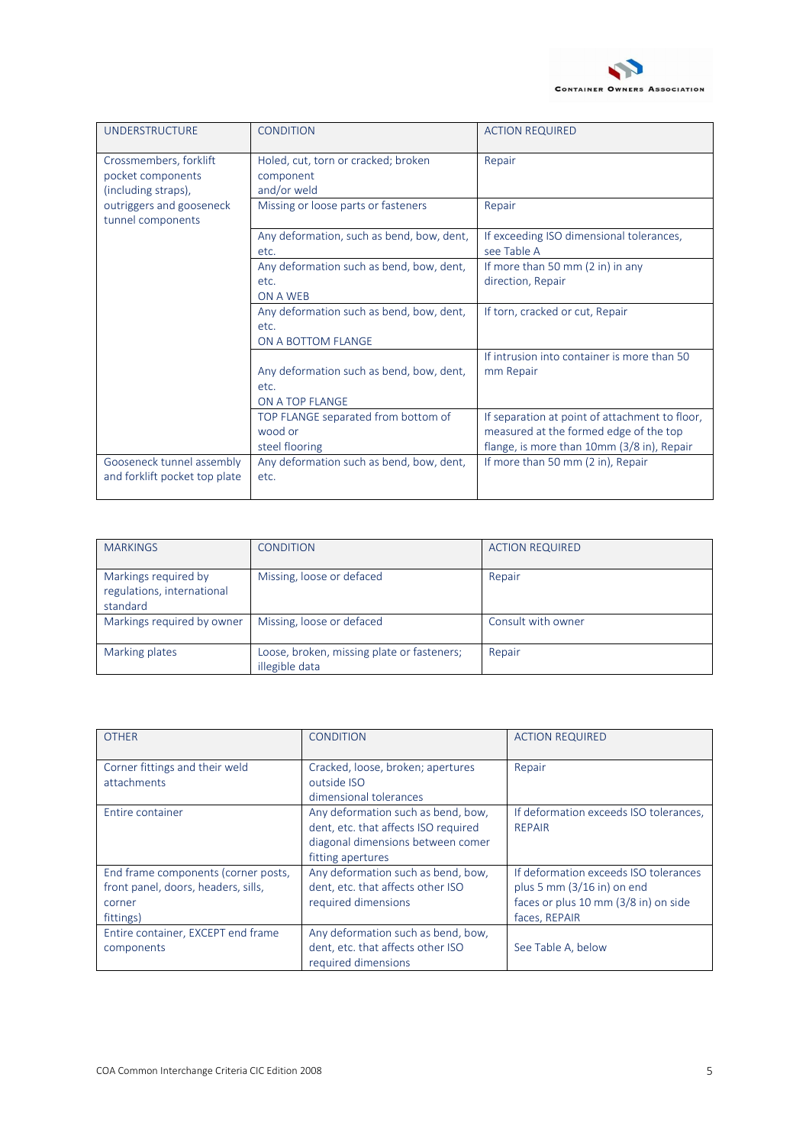

| <b>UNDERSTRUCTURE</b>                                              | <b>CONDITION</b>                                                       | <b>ACTION REQUIRED</b>                                                                                                                 |
|--------------------------------------------------------------------|------------------------------------------------------------------------|----------------------------------------------------------------------------------------------------------------------------------------|
| Crossmembers, forklift<br>pocket components<br>(including straps), | Holed, cut, torn or cracked; broken<br>component<br>and/or weld        | Repair                                                                                                                                 |
| outriggers and gooseneck<br>tunnel components                      | Missing or loose parts or fasteners                                    | Repair                                                                                                                                 |
|                                                                    | Any deformation, such as bend, bow, dent,<br>etc.                      | If exceeding ISO dimensional tolerances,<br>see Table A                                                                                |
|                                                                    | Any deformation such as bend, bow, dent,<br>etc.<br>ON A WEB           | If more than 50 mm (2 in) in any<br>direction, Repair                                                                                  |
|                                                                    | Any deformation such as bend, bow, dent,<br>etc.<br>ON A BOTTOM FLANGE | If torn, cracked or cut, Repair                                                                                                        |
|                                                                    | Any deformation such as bend, bow, dent,<br>etc.<br>ON A TOP FLANGE    | If intrusion into container is more than 50<br>mm Repair                                                                               |
|                                                                    | TOP FLANGE separated from bottom of<br>wood or<br>steel flooring       | If separation at point of attachment to floor,<br>measured at the formed edge of the top<br>flange, is more than 10mm (3/8 in), Repair |
| Gooseneck tunnel assembly<br>and forklift pocket top plate         | Any deformation such as bend, bow, dent,<br>etc.                       | If more than 50 mm (2 in), Repair                                                                                                      |

| <b>MARKINGS</b>                                                | CONDITION                                                    | <b>ACTION REQUIRED</b> |
|----------------------------------------------------------------|--------------------------------------------------------------|------------------------|
| Markings required by<br>regulations, international<br>standard | Missing, loose or defaced                                    | Repair                 |
| Markings required by owner   Missing, loose or defaced         |                                                              | Consult with owner     |
| Marking plates                                                 | Loose, broken, missing plate or fasteners;<br>illegible data | Repair                 |

| <b>OTHER</b>                        | <b>CONDITION</b>                     | <b>ACTION REQUIRED</b>                 |
|-------------------------------------|--------------------------------------|----------------------------------------|
| Corner fittings and their weld      | Cracked, loose, broken; apertures    | Repair                                 |
| attachments                         | outside ISO                          |                                        |
|                                     | dimensional tolerances               |                                        |
| Entire container                    | Any deformation such as bend, bow,   | If deformation exceeds ISO tolerances, |
|                                     | dent, etc. that affects ISO required | <b>REPAIR</b>                          |
|                                     | diagonal dimensions between comer    |                                        |
|                                     | fitting apertures                    |                                        |
| End frame components (corner posts, | Any deformation such as bend, bow,   | If deformation exceeds ISO tolerances  |
| front panel, doors, headers, sills, | dent, etc. that affects other ISO    | plus 5 mm $(3/16$ in) on end           |
| corner                              | required dimensions                  | faces or plus 10 mm (3/8 in) on side   |
| fittings)                           |                                      | faces, REPAIR                          |
| Entire container, EXCEPT end frame  | Any deformation such as bend, bow,   |                                        |
| components                          | dent, etc. that affects other ISO    | See Table A, below                     |
|                                     | required dimensions                  |                                        |